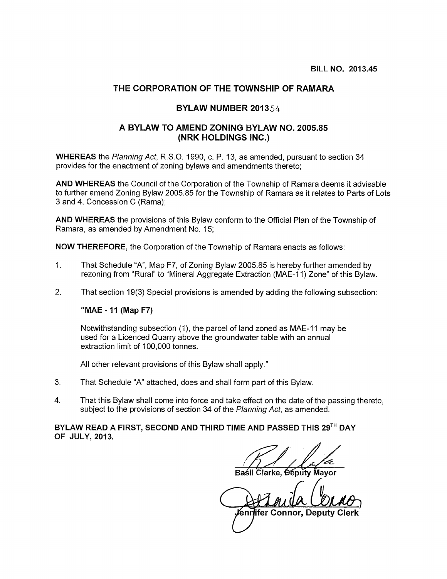## THE CORPORATION OF THE TOWNSHIP OF RAMARA

## BYLAW NUMBER 2013.54

## A BYLAW TO AMEND ZONING BYLAW NO. 2005.85 (NRK HOLDINGS INC.)

WHEREAS the Planning Act, R.S.O. 1990, c. P. 13, as amended, pursuant to section 34 provides for the enactment of zoning bylaws and amendments thereto;

AND WHEREAS the Council of the Corporation of the Township of Ramara deems it advisable to further amend Zoning Bylaw 2005.85 for the Township of Ramara as it relates to Parts of Lots 3 and 4, Concession C (Rama);

AND WHEREAS the provisions of this Bylaw conform to the Official Plan of the Township of Ramara, as amended by Amendment No. 15;

NOW THEREFORE, the Corporation of the Township of Ramara enacts as follows:

- 1. That Schedule "A", Map F7, of Zoning Bylaw 2005.85 is hereby further amended by rezoning from "Rural" to "Mineral Aggregate Extraction (MAE-11) Zone" of this Bylaw.
- 2. That section 19(3) Special provisions is amended by adding the following subsection:

## "MAE - 11 (Map F7)

Notwithstanding subsection (1), the parcel of land zoned as MAE-11 may be used for a Licenced Quarry above the groundwater table with an annual extraction limit of 100,000 tonnes.

All other relevant provisions of this Bylaw shall apply."

- 3. That Schedule "A" attached, does and shall form part of this Bylaw.
- 4. That this Bylaw shall come into force and take effect on the date of the passing thereto, subject to the provisions of section 34 of the Planning Act, as amended.

BYLAW READ A FIRST, SECOND AND THIRD TIME AND PASSED THIS 29TH DAY OF JULY, 2013.

arke, <del>Ó</del>éputy Mayor

1)

en ifer Connor, Deputy Clerk